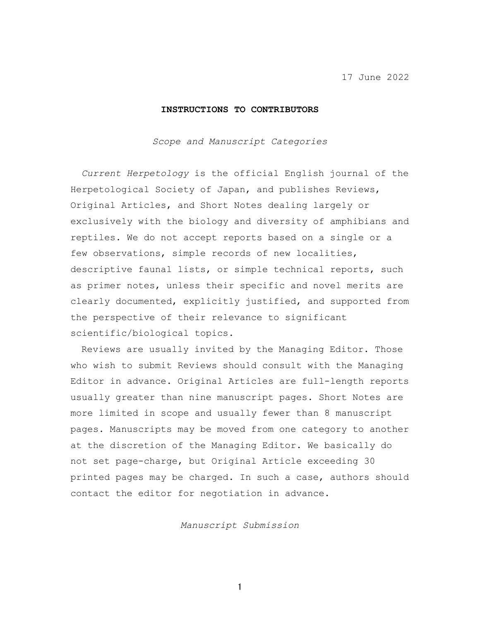17 June 2022

## **INSTRUCTIONS TO CONTRIBUTORS**

*Scope and Manuscript Categories*

*Current Herpetology* is the official English journal of the Herpetological Society of Japan, and publishes Reviews, Original Articles, and Short Notes dealing largely or exclusively with the biology and diversity of amphibians and reptiles. We do not accept reports based on a single or a few observations, simple records of new localities, descriptive faunal lists, or simple technical reports, such as primer notes, unless their specific and novel merits are clearly documented, explicitly justified, and supported from the perspective of their relevance to significant scientific/biological topics.

Reviews are usually invited by the Managing Editor. Those who wish to submit Reviews should consult with the Managing Editor in advance. Original Articles are full-length reports usually greater than nine manuscript pages. Short Notes are more limited in scope and usually fewer than 8 manuscript pages. Manuscripts may be moved from one category to another at the discretion of the Managing Editor. We basically do not set page-charge, but Original Article exceeding 30 printed pages may be charged. In such a case, authors should contact the editor for negotiation in advance.

*Manuscript Submission*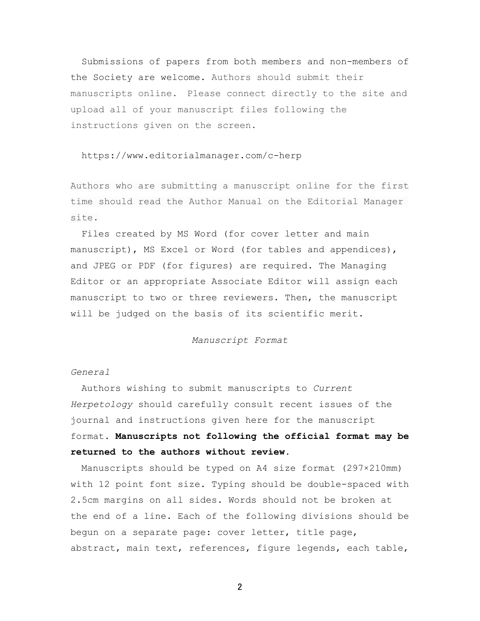Submissions of papers from both members and non-members of the Society are welcome. Authors should submit their manuscripts online. Please connect directly to the site and upload all of your manuscript files following the instructions given on the screen.

https://www.editorialmanager.com/c-herp

Authors who are submitting a manuscript online for the first time should read the Author Manual on the Editorial Manager site.

Files created by MS Word (for cover letter and main manuscript), MS Excel or Word (for tables and appendices), and JPEG or PDF (for figures) are required. The Managing Editor or an appropriate Associate Editor will assign each manuscript to two or three reviewers. Then, the manuscript will be judged on the basis of its scientific merit.

#### *Manuscript Format*

### *General*

Authors wishing to submit manuscripts to *Current Herpetology* should carefully consult recent issues of the journal and instructions given here for the manuscript format. **Manuscripts not following the official format may be returned to the authors without review.**

Manuscripts should be typed on A4 size format (297×210mm) with 12 point font size. Typing should be double-spaced with 2.5cm margins on all sides. Words should not be broken at the end of a line. Each of the following divisions should be begun on a separate page: cover letter, title page, abstract, main text, references, figure legends, each table,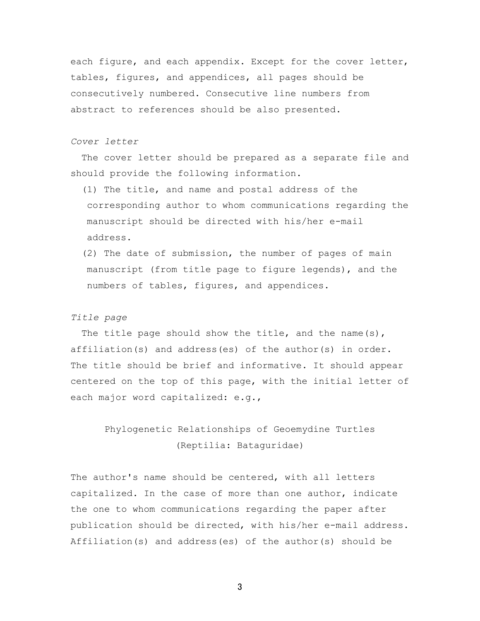each figure, and each appendix. Except for the cover letter, tables, figures, and appendices, all pages should be consecutively numbered. Consecutive line numbers from abstract to references should be also presented.

#### *Cover letter*

The cover letter should be prepared as a separate file and should provide the following information.

- (1) The title, and name and postal address of the corresponding author to whom communications regarding the manuscript should be directed with his/her e-mail address.
- (2) The date of submission, the number of pages of main manuscript (from title page to figure legends), and the numbers of tables, figures, and appendices.

## *Title page*

The title page should show the title, and the name(s), affiliation(s) and address(es) of the author(s) in order. The title should be brief and informative. It should appear centered on the top of this page, with the initial letter of each major word capitalized: e.g.,

# Phylogenetic Relationships of Geoemydine Turtles (Reptilia: Bataguridae)

The author's name should be centered, with all letters capitalized. In the case of more than one author, indicate the one to whom communications regarding the paper after publication should be directed, with his/her e-mail address. Affiliation(s) and address(es) of the author(s) should be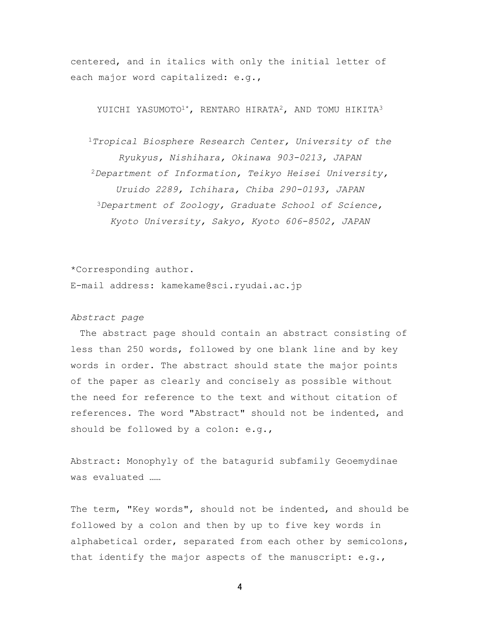centered, and in italics with only the initial letter of each major word capitalized: e.g.,

YUICHI YASUMOTO1\*, RENTARO HIRATA2, AND TOMU HIKITA<sup>3</sup>

<sup>1</sup>*Tropical Biosphere Research Center, University of the Ryukyus, Nishihara, Okinawa 903-0213, JAPAN* <sup>2</sup>*Department of Information, Teikyo Heisei University, Uruido 2289, Ichihara, Chiba 290-0193, JAPAN* <sup>3</sup>*Department of Zoology, Graduate School of Science, Kyoto University, Sakyo, Kyoto 606-8502, JAPAN*

\*Corresponding author.

E-mail address: [kamekame@sci.ryudai.ac.jp](mailto:kamekame@sci.ryudai.ac.jp)

#### *Abstract page*

The abstract page should contain an abstract consisting of less than 250 words, followed by one blank line and by key words in order. The abstract should state the major points of the paper as clearly and concisely as possible without the need for reference to the text and without citation of references. The word "Abstract" should not be indented, and should be followed by a colon: e.g.,

Abstract: Monophyly of the batagurid subfamily Geoemydinae was evaluated ……

The term, "Key words", should not be indented, and should be followed by a colon and then by up to five key words in alphabetical order, separated from each other by semicolons, that identify the major aspects of the manuscript:  $e.q.,$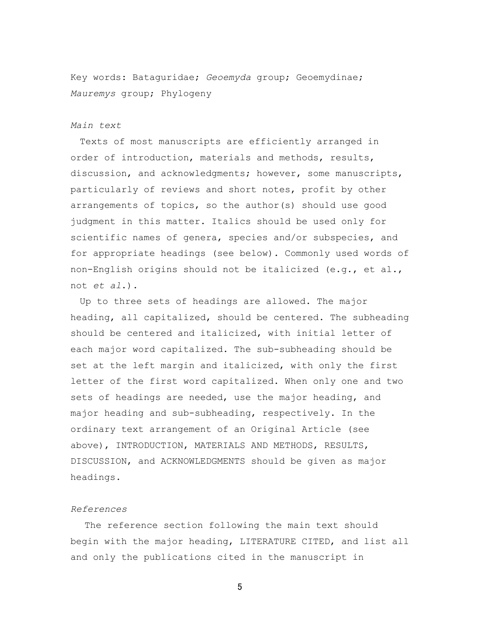Key words: Bataguridae; *Geoemyda* group; Geoemydinae; *Mauremys* group; Phylogeny

# *Main text*

Texts of most manuscripts are efficiently arranged in order of introduction, materials and methods, results, discussion, and acknowledgments; however, some manuscripts, particularly of reviews and short notes, profit by other arrangements of topics, so the author(s) should use good judgment in this matter. Italics should be used only for scientific names of genera, species and/or subspecies, and for appropriate headings (see below). Commonly used words of non-English origins should not be italicized (e.g., et al., not *et al*.).

Up to three sets of headings are allowed. The major heading, all capitalized, should be centered. The subheading should be centered and italicized, with initial letter of each major word capitalized. The sub-subheading should be set at the left margin and italicized, with only the first letter of the first word capitalized. When only one and two sets of headings are needed, use the major heading, and major heading and sub-subheading, respectively. In the ordinary text arrangement of an Original Article (see above), INTRODUCTION, MATERIALS AND METHODS, RESULTS, DISCUSSION, and ACKNOWLEDGMENTS should be given as major headings.

## *References*

The reference section following the main text should begin with the major heading, LITERATURE CITED, and list all and only the publications cited in the manuscript in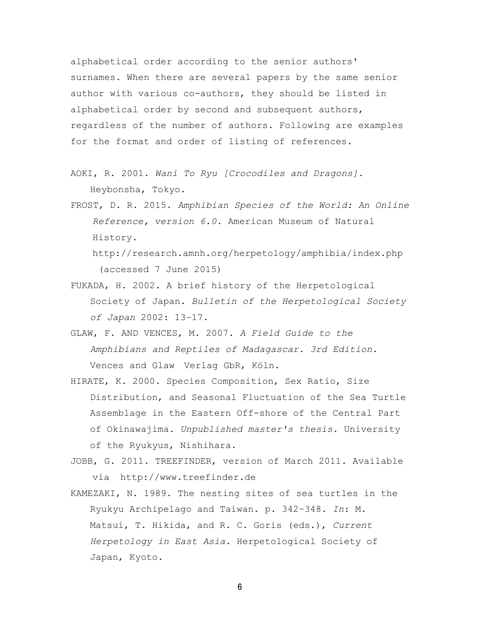alphabetical order according to the senior authors' surnames. When there are several papers by the same senior author with various co-authors, they should be listed in alphabetical order by second and subsequent authors, regardless of the number of authors. Following are examples for the format and order of listing of references.

- AOKI, R. 2001. *Wani To Ryu [Crocodiles and Dragons]*. Heybonsha, Tokyo.
- FROST, D. R. 2015. *Amphibian Species of the World: An Online Reference, version 6.0.* American Museum of Natural History.

[http://research.amnh.org/herpetology/amphibia/index.php](http://research.amnh.org/%20herpetology/amphibia/index.php) (accessed 7 June 2015)

- FUKADA, H. 2002. A brief history of the Herpetological Society of Japan. *Bulletin of the Herpetological Society of Japan* 2002: 13–17.
- GLAW, F. AND VENCES, M. 2007. *A Field Guide to the Amphibians and Reptiles of Madagascar. 3rd Edition*. Vences and Glaw Verlag GbR, Köln.
- HIRATE, K. 2000. Species Composition, Sex Ratio, Size Distribution, and Seasonal Fluctuation of the Sea Turtle Assemblage in the Eastern Off-shore of the Central Part of Okinawajima. *Unpublished master's thesis.* University of the Ryukyus, Nishihara.
- JOBB, G. 2011. TREEFINDER, version of March 2011. Available via [http://www.treefinder.de](http://www.treefinder.de/)
- KAMEZAKI, N. 1989. The nesting sites of sea turtles in the Ryukyu Archipelago and Taiwan. p. 342–348. *In*: M. Matsui, T. Hikida, and R. C. Goris (eds.), *Current Herpetology in East Asia.* Herpetological Society of Japan, Kyoto.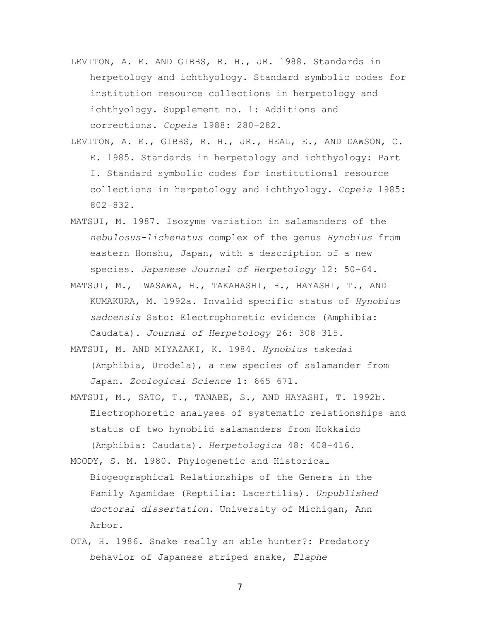- LEVITON, A. E. AND GIBBS, R. H., JR. 1988. Standards in herpetology and ichthyology. Standard symbolic codes for institution resource collections in herpetology and ichthyology. Supplement no. 1: Additions and corrections. *Copeia* 1988: 280–282.
- LEVITON, A. E., GIBBS, R. H., JR., HEAL, E., AND DAWSON, C. E. 1985. Standards in herpetology and ichthyology: Part I. Standard symbolic codes for institutional resource collections in herpetology and ichthyology. *Copeia* 1985: 802–832.
- MATSUI, M. 1987. Isozyme variation in salamanders of the *nebulosus-lichenatus* complex of the genus *Hynobius* from eastern Honshu, Japan, with a description of a new species. *Japanese Journal of Herpetology* 12: 50–64.
- MATSUI, M., IWASAWA, H., TAKAHASHI, H., HAYASHI, T., AND KUMAKURA, M. 1992a. Invalid specific status of *Hynobius sadoensis* Sato: Electrophoretic evidence (Amphibia: Caudata). *Journal of Herpetology* 26: 308–315.
- MATSUI, M. AND MIYAZAKI, K. 1984. *Hynobius takedai* (Amphibia, Urodela), a new species of salamander from Japan. *Zoological Science* 1: 665–671.
- MATSUI, M., SATO, T., TANABE, S., AND HAYASHI, T. 1992b. Electrophoretic analyses of systematic relationships and status of two hynobiid salamanders from Hokkaido (Amphibia: Caudata). *Herpetologica* 48: 408–416.
- MOODY, S. M. 1980. Phylogenetic and Historical Biogeographical Relationships of the Genera in the Family Agamidae (Reptilia: Lacertilia). *Unpublished doctoral dissertation*. University of Michigan, Ann Arbor.
- OTA, H. 1986. Snake really an able hunter?: Predatory behavior of Japanese striped snake, *Elaphe*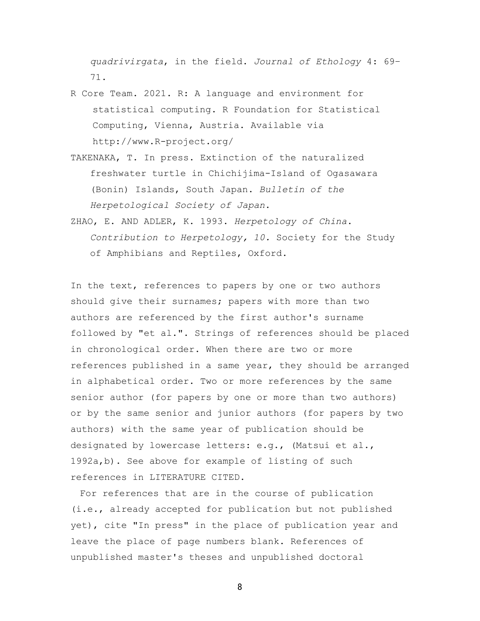*quadrivirgata*, in the field. *Journal of Ethology* 4: 69– 71.

- R Core Team. 2021. R: A language and environment for statistical computing. R Foundation for Statistical Computing, Vienna, Austria. Available via http://www.R-project.org/
- TAKENAKA, T. In press. Extinction of the naturalized freshwater turtle in Chichijima-Island of Ogasawara (Bonin) Islands, South Japan. *Bulletin of the Herpetological Society of Japan*.
- ZHAO, E. AND ADLER, K. 1993. *Herpetology of China*. *Contribution to Herpetology, 10.* Society for the Study of Amphibians and Reptiles, Oxford.

In the text, references to papers by one or two authors should give their surnames; papers with more than two authors are referenced by the first author's surname followed by "et al.". Strings of references should be placed in chronological order. When there are two or more references published in a same year, they should be arranged in alphabetical order. Two or more references by the same senior author (for papers by one or more than two authors) or by the same senior and junior authors (for papers by two authors) with the same year of publication should be designated by lowercase letters: e.g., (Matsui et al., 1992a,b). See above for example of listing of such references in LITERATURE CITED.

For references that are in the course of publication (i.e., already accepted for publication but not published yet), cite "In press" in the place of publication year and leave the place of page numbers blank. References of unpublished master's theses and unpublished doctoral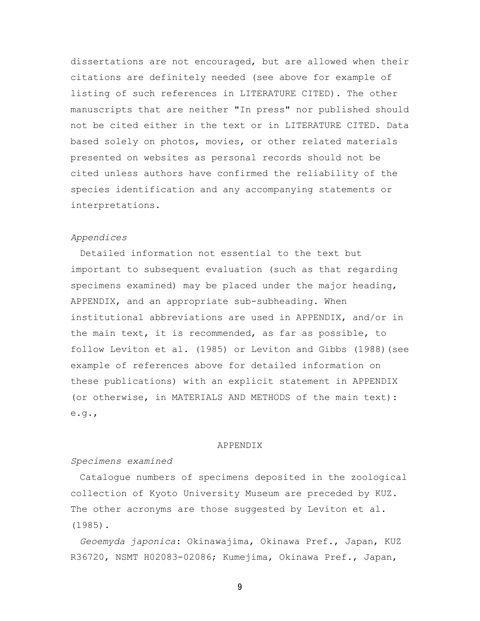dissertations are not encouraged, but are allowed when their citations are definitely needed (see above for example of listing of such references in LITERATURE CITED). The other manuscripts that are neither "In press" nor published should not be cited either in the text or in LITERATURE CITED. Data based solely on photos, movies, or other related materials presented on websites as personal records should not be cited unless authors have confirmed the reliability of the species identification and any accompanying statements or interpretations.

## *Appendices*

Detailed information not essential to the text but important to subsequent evaluation (such as that regarding specimens examined) may be placed under the major heading, APPENDIX, and an appropriate sub-subheading. When institutional abbreviations are used in APPENDIX, and/or in the main text, it is recommended, as far as possible, to follow Leviton et al. (1985) or Leviton and Gibbs (1988)(see example of references above for detailed information on these publications) with an explicit statement in APPENDIX (or otherwise, in MATERIALS AND METHODS of the main text): e.g.,

#### APPENDIX

## *Specimens examined*

 Catalogue numbers of specimens deposited in the zoological collection of Kyoto University Museum are preceded by KUZ. The other acronyms are those suggested by Leviton et al. (1985).

*Geoemyda japonica*: Okinawajima, Okinawa Pref., Japan, KUZ R36720, NSMT H02083-02086; Kumejima, Okinawa Pref., Japan,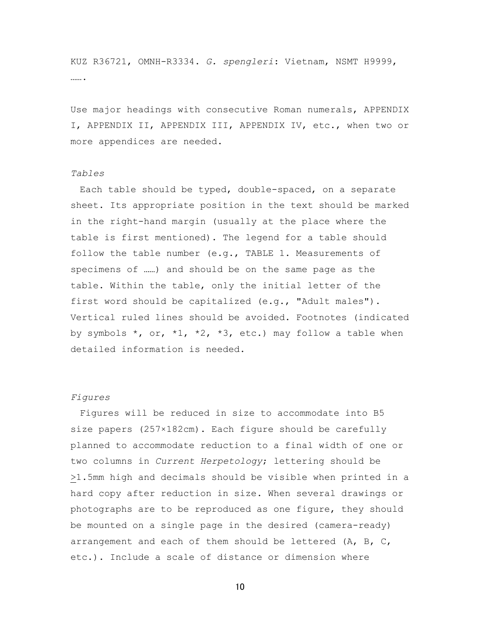KUZ R36721, OMNH-R3334. *G. spengleri*: Vietnam, NSMT H9999, ……

Use major headings with consecutive Roman numerals, APPENDIX I, APPENDIX II, APPENDIX III, APPENDIX IV, etc., when two or more appendices are needed.

# *Tables*

Each table should be typed, double-spaced, on a separate sheet. Its appropriate position in the text should be marked in the right-hand margin (usually at the place where the table is first mentioned). The legend for a table should follow the table number (e.g., TABLE 1. Measurements of specimens of ……) and should be on the same page as the table. Within the table, only the initial letter of the first word should be capitalized (e.g., "Adult males"). Vertical ruled lines should be avoided. Footnotes (indicated by symbols  $\star$ , or,  $\star$ 1,  $\star$ 2,  $\star$ 3, etc.) may follow a table when detailed information is needed.

## *Figures*

Figures will be reduced in size to accommodate into B5 size papers (257×182cm). Each figure should be carefully planned to accommodate reduction to a final width of one or two columns in *Current Herpetology*; lettering should be >1.5mm high and decimals should be visible when printed in a hard copy after reduction in size. When several drawings or photographs are to be reproduced as one figure, they should be mounted on a single page in the desired (camera-ready) arrangement and each of them should be lettered (A, B, C, etc.). Include a scale of distance or dimension where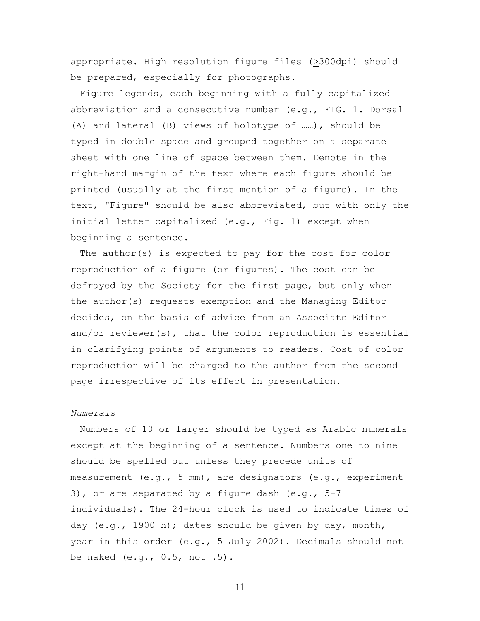appropriate. High resolution figure files (>300dpi) should be prepared, especially for photographs.

Figure legends, each beginning with a fully capitalized abbreviation and a consecutive number (e.g., FIG. 1. Dorsal (A) and lateral (B) views of holotype of ……), should be typed in double space and grouped together on a separate sheet with one line of space between them. Denote in the right-hand margin of the text where each figure should be printed (usually at the first mention of a figure). In the text, "Figure" should be also abbreviated, but with only the initial letter capitalized (e.g., Fig. 1) except when beginning a sentence.

The author(s) is expected to pay for the cost for color reproduction of a figure (or figures). The cost can be defrayed by the Society for the first page, but only when the author(s) requests exemption and the Managing Editor decides, on the basis of advice from an Associate Editor and/or reviewer(s), that the color reproduction is essential in clarifying points of arguments to readers. Cost of color reproduction will be charged to the author from the second page irrespective of its effect in presentation.

## *Numerals*

Numbers of 10 or larger should be typed as Arabic numerals except at the beginning of a sentence. Numbers one to nine should be spelled out unless they precede units of measurement (e.g., 5 mm), are designators (e.g., experiment 3), or are separated by a figure dash  $(e,q, 5-7)$ individuals). The 24-hour clock is used to indicate times of day (e.g., 1900 h); dates should be given by day, month, year in this order (e.g., 5 July 2002). Decimals should not be naked (e.g., 0.5, not .5).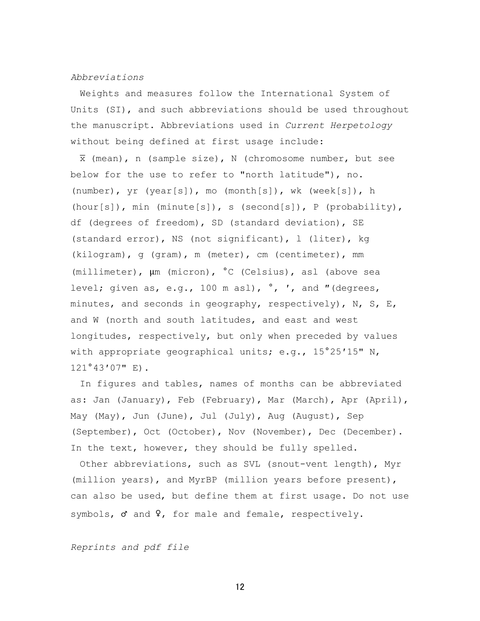## *Abbreviations*

Weights and measures follow the International System of Units (SI), and such abbreviations should be used throughout the manuscript. Abbreviations used in *Current Herpetology* without being defined at first usage include:

 $\overline{x}$  (mean), n (sample size), N (chromosome number, but see below for the use to refer to "north latitude"), no. (number), yr (year[s]), mo (month[s]), wk (week[s]), h (hour[s]), min (minute[s]), s (second[s]), P (probability), df (degrees of freedom), SD (standard deviation), SE (standard error), NS (not significant), l (liter), kg (kilogram), g (gram), m (meter), cm (centimeter), mm (millimeter), μm (micron), °C (Celsius), asl (above sea level; given as, e.g., 100 m asl),  $\degree$ ,  $\degree$ , and "(degrees, minutes, and seconds in geography, respectively), N, S, E, and W (north and south latitudes, and east and west longitudes, respectively, but only when preceded by values with appropriate geographical units; e.g., 15°25′15" N, 121°43′07" E).

In figures and tables, names of months can be abbreviated as: Jan (January), Feb (February), Mar (March), Apr (April), May (May), Jun (June), Jul (July), Aug (August), Sep (September), Oct (October), Nov (November), Dec (December). In the text, however, they should be fully spelled.

Other abbreviations, such as SVL (snout-vent length), Myr (million years), and MyrBP (million years before present), can also be used, but define them at first usage. Do not use symbols,  $\sigma$  and  $\varphi$ , for male and female, respectively.

*Reprints and pdf file*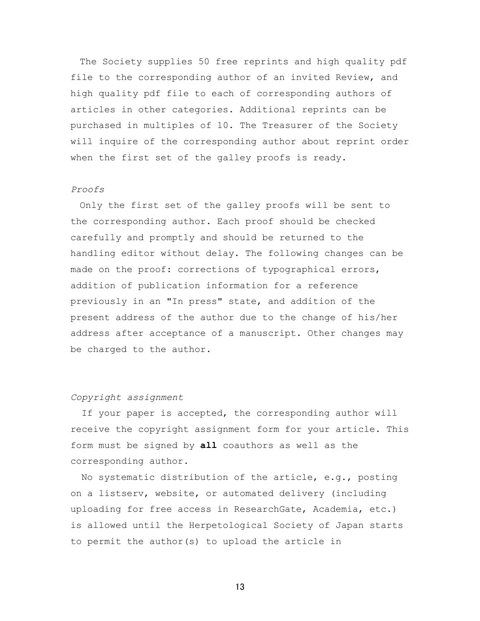The Society supplies 50 free reprints and high quality pdf file to the corresponding author of an invited Review, and high quality pdf file to each of corresponding authors of articles in other categories. Additional reprints can be purchased in multiples of 10. The Treasurer of the Society will inquire of the corresponding author about reprint order when the first set of the galley proofs is ready.

# *Proofs*

Only the first set of the galley proofs will be sent to the corresponding author. Each proof should be checked carefully and promptly and should be returned to the handling editor without delay. The following changes can be made on the proof: corrections of typographical errors, addition of publication information for a reference previously in an "In press" state, and addition of the present address of the author due to the change of his/her address after acceptance of a manuscript. Other changes may be charged to the author.

## *Copyright assignment*

If your paper is accepted, the corresponding author will receive the copyright assignment form for your article. This form must be signed by **all** coauthors as well as the corresponding author.

No systematic distribution of the article, e.g., posting on a listserv, website, or automated delivery (including uploading for free access in ResearchGate, Academia, etc.) is allowed until the Herpetological Society of Japan starts to permit the author(s) to upload the article in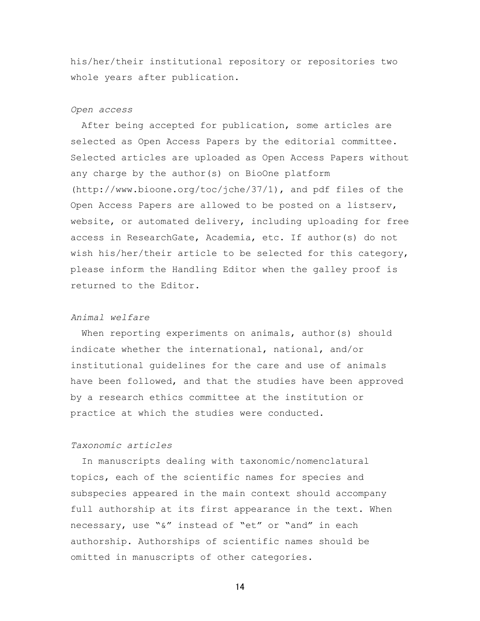his/her/their institutional repository or repositories two whole years after publication.

## *Open access*

After being accepted for publication, some articles are selected as Open Access Papers by the editorial committee. Selected articles are uploaded as Open Access Papers without any charge by the author(s) on BioOne platform (http://www.bioone.org/toc/jche/37/1), and pdf files of the Open Access Papers are allowed to be posted on a listserv, website, or automated delivery, including uploading for free access in ResearchGate, Academia, etc. If author(s) do not wish his/her/their article to be selected for this category, please inform the Handling Editor when the galley proof is returned to the Editor.

#### *Animal welfare*

When reporting experiments on animals, author(s) should indicate whether the international, national, and/or institutional guidelines for the care and use of animals have been followed, and that the studies have been approved by a research ethics committee at the institution or practice at which the studies were conducted.

## *Taxonomic articles*

In manuscripts dealing with taxonomic/nomenclatural topics, each of the scientific names for species and subspecies appeared in the main context should accompany full authorship at its first appearance in the text. When necessary, use "&" instead of "et" or "and" in each authorship. Authorships of scientific names should be omitted in manuscripts of other categories.